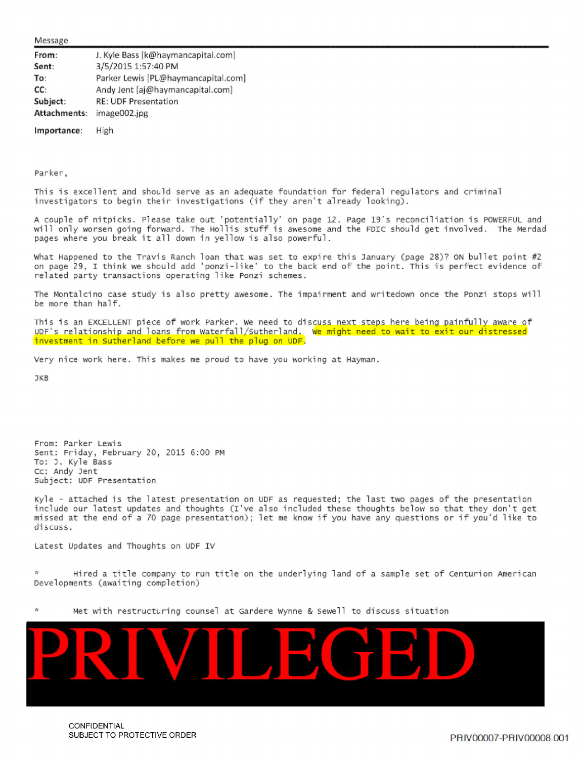Message

| From:        | J. Kyle Bass [k@haymancapital.com]  |
|--------------|-------------------------------------|
| Sent:        | 3/5/2015 1:57:40 PM                 |
| To:          | Parker Lewis [PL@haymancapital.com] |
| CC:          | Andy Jent [aj@haymancapital.com]    |
| Subject:     | <b>RE: UDF Presentation</b>         |
| Attachments: | image002.jpg                        |

**Importance:** High

Parker,

This is excellent and should serve as an adequate foundation for federal regulators and criminal investigators to begin their investigations (if they aren't already looking).

A couple of nitpicks. Please take out 'potentially' on page 12. Page 19's reconciliation is POWERFUL and will only worsen going forward. The Hollis stuff is awesome and the FDIC should get involved. The Merdad pages where you break it all down in yellow is also powerful.

What Happened to the Travis Ranch loan that was set to expire this January (page 28)? ON bullet point #2 on page 29, I think we should add 'ponzi-like' to the back end of the point. This is perfect evidence of related party transactions operating like Ponzi schemes.

The Montalcino case study is also pretty awesome. The impairment and writedown once the Ponzi stops will be more than half.

This is an EXCELLENT piece of work Parker. We need to discuss next steps here being painfully aware of UDF's relationship and loans from Waterfall/Sutherland. We might need to wait to exit our distressed investment in Sutherland before we pull the plug on UDF.

Very nice work here. This makes me proud to have you working at Hayman.

**JKB** 

From: Parker Lewis sent: Friday, February 20 , 2015 6:00 PM To: J. Kyle Bass cc: Andy Jent subject: UDF Presentation

Kyle - attached is the latest presentation on UDF as requested; the last two pages of the presentation include our latest updates and thoughts (I've also included these thoughts below so that they don't get missed at the end of a 70 page presentation); let me know if you have any questions or if you'd like to discuss.

Latest Updates and Thoughts on UDF IV

Hired a title company to run title on the underlying land of a sample set of Centurion American Developments (awaiting completion)





CONFIDENTIAL SUBJECT TO PROTECTIVE ORDER **PRIVILLE ACCORD AND A SUBJECT TO PRIVILLE ORDER**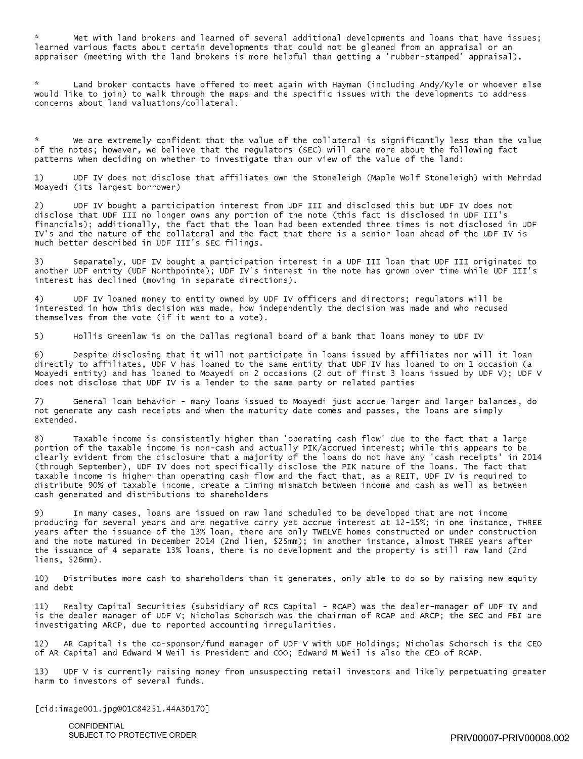Met with land brokers and learned of several additional developments and loans that have issues; learned various facts about certain developments that could not be gleaned from an appraisal or an appraiser (meeting with the land brokers is more helpful than getting a 'rubber-stamped' appraisal).

Land broker contacts have offered to meet again with Hayman (including Andy/Kyle or whoever else would like to join) to walk through the maps and the specific issues with the developments to address concerns about land valuations/collateral.

\* We are extremely confident that the value of the collateral is significantly less than the value of the notes; however, we believe that the regulators (SEC) will care more about the following fact patterns when deciding on whether to investigate than our view of the value of the land:

1) UDF IV does not disclose that affiliates own the Stoneleigh (Maple Wolf Stoneleigh) with Mehrdad Moayedi (its largest borrower)

2) UDF IV bought a participation interest from UDF III and disclosed this but UDF IV does not disclose that UDF III no longer owns any portion of the note (this fact is disclosed in UDF III's financials); additionally, the fact that the loan had been extended three times is not disclosed in UDF IV's and the nature of the collateral and the fact that there is a senior loan ahead of the UDF IV is much better described in UDF III's SEC filings.

3) Separately, UDF IV bought a participation interest in a UDF III loan that UDF III originated to another UDF entity (UDF Northpointe); UDF IV's interest in the note has grown over time while UDF III's interest has declined (moving in separate directions).

4) UDF IV loaned money to entity owned by UDF IV officers and directors; regulators will be interested in how this decision was made, how independently the decision was made and who recused themselves from the *vote* (if it went to a vote).

5) Hollis Greenlaw is on the Dallas regional board of a bank that loans money to UDF IV

6) Despite disclosing that it will not participate in loans issued by affiliates nor will it loan directly to affiliates, UDF V has loaned to the same entity that UDF IV has loaned to on 1 occasion (a Moayedi entity) and has loaned to Moayedi on 2 occasions (2 out of first 3 loans issued by UDF V); UDF V does not disclose that UDF IV is a lender to the same party or related parties

7) General loan behavior - many loans issued to Moayedi just accrue larger and larger balances, do not generate any cash receipts and when the maturity date comes and passes, the loans are simply extended.

8) Taxable income is consistently higher than 'operating cash flow' due to the fact that a large portion of the taxable income is non-cash and actually PIK/accrued interest; while this appears to be clearly evident from the disclosure that a majority of the loans do not have any 'cash receipts' in 2014 (through September), UDF IV does not specifically disclose the PIK nature of the loans. The fact that taxable income is higher than operating cash flow and the fact that, as a REIT, UDF IV is required to distribute 90% of taxable income, create a timing mismatch between income and cash as well as between cash generated and distributions to shareholders

9) In many cases, loans are issued on raw land scheduled to be developed that are not income producing for several years and are negative carry yet accrue interest at 12-15%; in one instance, THREE years after the issuance of the 13% loan, there are only TWELVE homes constructed or under construction and the note matured in December 2014 (2nd lien, \$25mm); in another instance, almost THREE years after the issuance of 4 separate 13% loans, there is no development and the property is still raw land (2nd liens, \$26mm).

10) Distributes more cash to shareholders than it generates, only able to do so by raising new equity and debt

11) Realty Capital Securities (subsidiary of RCS Capital - RCAP) was the dealer-manager of UDF IV and is the dealer manager of UDF v; Nicholas Schorsch was the chairman of RCAP and ARCP; the SEC and FBI are investigating ARCP, due to reported accounting irregularities.

12) AR Capital is the co-sponsor/fund manager of UDF V with UDF Holdings; Nicholas Schorsch is the CEO of AR Capital and Edward M Weil is President and coo; Edward M Weil is also the CEO of RCAP.

13) UDF V is currently raising money from unsuspecting retail investors and likely perpetuating greater harm to investors of several funds.

[cid:image001.jpg@01C84251.44A3D170]

**CONFIDENTIAL**